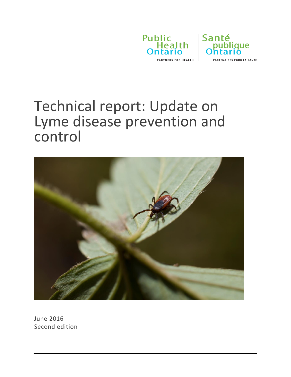



Technical report: Update on Lyme disease prevention and control



June 2016 Second edition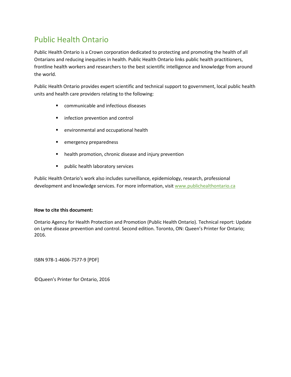### Public Health Ontario

Public Health Ontario is a Crown corporation dedicated to protecting and promoting the health of all Ontarians and reducing inequities in health. Public Health Ontario links public health practitioners, frontline health workers and researchers to the best scientific intelligence and knowledge from around the world.

Public Health Ontario provides expert scientific and technical support to government, local public health units and health care providers relating to the following:

- **E** communicable and infectious diseases
- **Infection prevention and control**
- environmental and occupational health
- emergency preparedness
- **•** health promotion, chronic disease and injury prevention
- **Parablic health laboratory services**

Public Health Ontario's work also includes surveillance, epidemiology, research, professional development and knowledge services. For more information, visit [www.publichealthontario.ca](http://www.publichealthontario.ca/)

#### **How to cite this document:**

Ontario Agency for Health Protection and Promotion (Public Health Ontario). Technical report: Update on Lyme disease prevention and control. Second edition. Toronto, ON: Queen's Printer for Ontario; 2016.

ISBN 978-1-4606-7577-9 [PDF]

©Queen's Printer for Ontario, 2016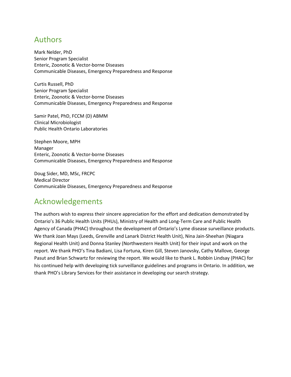#### Authors

Mark Nelder, PhD Senior Program Specialist Enteric, Zoonotic & Vector-borne Diseases Communicable Diseases, Emergency Preparedness and Response

Curtis Russell, PhD Senior Program Specialist Enteric, Zoonotic & Vector-borne Diseases Communicable Diseases, Emergency Preparedness and Response

Samir Patel, PhD, FCCM (D) ABMM Clinical Microbiologist Public Health Ontario Laboratories

Stephen Moore, MPH Manager Enteric, Zoonotic & Vector-borne Diseases Communicable Diseases, Emergency Preparedness and Response

Doug Sider, MD, MSc, FRCPC Medical Director Communicable Diseases, Emergency Preparedness and Response

#### Acknowledgements

The authors wish to express their sincere appreciation for the effort and dedication demonstrated by Ontario's 36 Public Health Units (PHUs), Ministry of Health and Long-Term Care and Public Health Agency of Canada (PHAC) throughout the development of Ontario's Lyme disease surveillance products. We thank Joan Mays (Leeds, Grenville and Lanark District Health Unit), Nina Jain-Sheehan (Niagara Regional Health Unit) and Donna Stanley (Northwestern Health Unit) for their input and work on the report. We thank PHO's Tina Badiani, Lisa Fortuna, Kiren Gill, Steven Janovsky, Cathy Mallove, George Pasut and Brian Schwartz for reviewing the report. We would like to thank L. Robbin Lindsay (PHAC) for his continued help with developing tick surveillance guidelines and programs in Ontario. In addition, we thank PHO's Library Services for their assistance in developing our search strategy.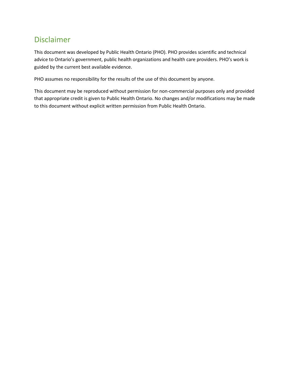### Disclaimer

This document was developed by Public Health Ontario (PHO). PHO provides scientific and technical advice to Ontario's government, public health organizations and health care providers. PHO's work is guided by the current best available evidence.

PHO assumes no responsibility for the results of the use of this document by anyone.

This document may be reproduced without permission for non-commercial purposes only and provided that appropriate credit is given to Public Health Ontario. No changes and/or modifications may be made to this document without explicit written permission from Public Health Ontario.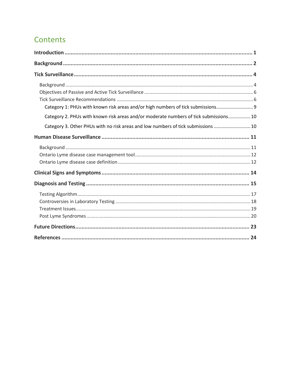## Contents

| Category 1: PHUs with known risk areas and/or high numbers of tick submissions 9<br>Category 2. PHUs with known risk areas and/or moderate numbers of tick submissions 10<br>Category 3. Other PHUs with no risk areas and low numbers of tick submissions  10 |
|----------------------------------------------------------------------------------------------------------------------------------------------------------------------------------------------------------------------------------------------------------------|
|                                                                                                                                                                                                                                                                |
|                                                                                                                                                                                                                                                                |
|                                                                                                                                                                                                                                                                |
|                                                                                                                                                                                                                                                                |
|                                                                                                                                                                                                                                                                |
|                                                                                                                                                                                                                                                                |
|                                                                                                                                                                                                                                                                |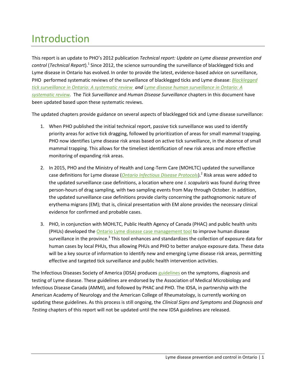# <span id="page-5-0"></span>Introduction

This report is an update to PHO's 2012 publication *Technical report: Update on Lyme disease prevention and*  control (*Technical Report*).<sup>1</sup> Since 2012, the science surrounding the surveillance of blacklegged ticks and Lyme disease in Ontario has evolved. In order to provide the latest, evidence-based advice on surveillance, PHO performed systematic reviews of the surveillance of blacklegged ticks and Lyme disease: *[Blacklegged](http://www.publichealthontario.ca/en/BrowseByTopic/InfectiousDiseases/Pages/IDLandingPages/Lyme-Disease.aspx)  tick surveillance in Ontario: A [systematic review](http://www.publichealthontario.ca/en/BrowseByTopic/InfectiousDiseases/Pages/IDLandingPages/Lyme-Disease.aspx) an[d Lyme disease human surveillance](http://www.publichealthontario.ca/en/BrowseByTopic/InfectiousDiseases/Pages/IDLandingPages/Lyme-Disease.aspx) in Ontario: A [systematic review.](http://www.publichealthontario.ca/en/BrowseByTopic/InfectiousDiseases/Pages/IDLandingPages/Lyme-Disease.aspx)* The *Tick Surveillance* and *Human Disease Surveillance* chapters in this document have been updated based upon these systematic reviews.

The updated chapters provide guidance on several aspects of blacklegged tick and Lyme disease surveillance:

- 1. When PHO published the initial technical report, passive tick surveillance was used to identify priority areas for active tick dragging, followed by prioritization of areas for small mammal trapping. PHO now identifies Lyme disease risk areas based on active tick surveillance, in the absence of small mammal trapping. This allows for the timeliest identification of new risk areas and more effective monitoring of expanding risk areas.
- 2. In 2015, PHO and the Ministry of Health and Long-Term Care (MOHLTC) updated the surveillance case definitions for Lyme disease (*[Ontario Infectious Disease Protocols](http://www.health.gov.on.ca/en/pro/programs/publichealth/oph_standards/infdispro.aspx)*). 2 Risk areas were added to the updated surveillance case definitions, a location where one *I. scapularis* was found during three person-hours of drag sampling, with two sampling events from May through October. In addition, the updated surveillance case definitions provide clarity concerning the pathognomonic nature of erythema migrans (EM); that is, clinical presentation with EM alone provides the necessary clinical evidence for confirmed and probable cases.
- 3. PHO, in conjunction with MOHLTC, Public Health Agency of Canada (PHAC) and public health units (PHUs) developed the [Ontario Lyme disease case management tool](http://www.publichealthontario.ca/en/BrowseByTopic/InfectiousDiseases/Pages/IDLandingPages/Lyme-Disease.aspxhttp:/www.publichealthontario.ca/en/eRepository/Active_tick_dragging_SOP.pdf) to improve human disease surveillance in the province.<sup>3</sup> This tool enhances and standardizes the collection of exposure data for human cases by local PHUs, thus allowing PHUs and PHO to better analyze exposure data. These data will be a key source of information to identify new and emerging Lyme disease risk areas, permitting effective and targeted tick surveillance and public health intervention activities.

The Infectious Diseases Society of America (IDSA) produces [guidelines](http://www.idsociety.org/Lyme/) on the symptoms, diagnosis and testing of Lyme disease. These guidelines are endorsed by the Association of Medical Microbiology and Infectious Disease Canada (AMMI), and followed by PHAC and PHO. The IDSA, in partnership with the American Academy of Neurology and the American College of Rheumatology, is currently working on updating these guidelines. As this process is still ongoing, the *Clinical Signs and Symptoms* and *Diagnosis and Testing* chapters of this report will not be updated until the new IDSA guidelines are released.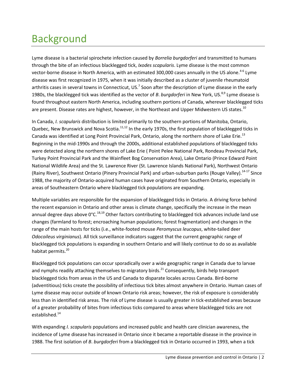# <span id="page-6-0"></span>Background

Lyme disease is a bacterial spirochete infection caused by *Borrelia burgdorferi* and transmitted to humans through the bite of an infectious blacklegged tick, *Ixodes scapularis*. Lyme disease is the most common vector-borne disease in North America, with an estimated 300,000 cases annually in the US alone.<sup>4-6</sup> Lyme disease was first recognized in 1975, when it was initially described as a cluster of juvenile rheumatoid arthritis cases in several towns in Connecticut, US.<sup>7</sup> Soon after the description of Lyme disease in the early 1980s, the blacklegged tick was identified as the vector of *B. burgdorferi* in New York, US.<sup>8,9</sup> Lyme disease is found throughout eastern North America, including southern portions of Canada, wherever blacklegged ticks are present. Disease rates are highest, however, in the Northeast and Upper Midwestern US states.<sup>10</sup>

In Canada, *I. scapularis* distribution is limited primarily to the southern portions of Manitoba, Ontario, Quebec, New Brunswick and Nova Scotia. $11,12$  In the early 1970s, the first population of blacklegged ticks in Canada was identified at Long Point Provincial Park, Ontario, along the northern shore of Lake Erie.<sup>13</sup> Beginning in the mid-1990s and through the 2000s, additional established populations of blacklegged ticks were detected along the northern shores of Lake Erie ( Point Pelee National Park, Rondeau Provincial Park, Turkey Point Provincial Park and the Wainfleet Bog Conservation Area), Lake Ontario (Prince Edward Point National Wildlife Area) and the St. Lawrence River (St. Lawrence Islands National Park), Northwest Ontario (Rainy River), Southwest Ontario (Pinery Provincial Park) and urban-suburban parks (Rouge Valley).<sup>14-17</sup> Since 1988, the majority of Ontario-acquired human cases have originated from Southern Ontario, especially in areas of Southeastern Ontario where blacklegged tick populations are expanding.

Multiple variables are responsible for the expansion of blacklegged ticks in Ontario. A driving force behind the recent expansion in Ontario and other areas is climate change, specifically the increase in the mean annual degree days above  $0^{\circ}$ C.<sup>18,19</sup> Other factors contributing to blacklegged tick advances include land use changes (farmland to forest; encroaching human populations; forest fragmentation) and changes in the range of the main hosts for ticks (i.e., white-footed mouse *Peromyscus leucopus*, white-tailed deer *Odocoileus virginianus*). All tick surveillance indicators suggest that the current geographic range of blacklegged tick populations is expanding in southern Ontario and will likely continue to do so as available habitat permits.<sup>20</sup>

Blacklegged tick populations can occur sporadically over a wide geographic range in Canada due to larvae and nymphs readily attaching themselves to migratory birds.<sup>21</sup> Consequently, birds help transport blacklegged ticks from areas in the US and Canada to disparate locales across Canada. Bird-borne (adventitious) ticks create the possibility of infectious tick bites almost anywhere in Ontario. Human cases of Lyme disease may occur outside of known Ontario risk areas; however, the risk of exposure is considerably less than in identified risk areas. The risk of Lyme disease is usually greater in tick-established areas because of a greater probability of bites from infectious ticks compared to areas where blacklegged ticks are not established.<sup>14</sup>

With expanding *I. scapularis* populations and increased public and health care clinician awareness, the incidence of Lyme disease has increased in Ontario since it became a reportable disease in the province in 1988. The first isolation of *B*. *burgdorferi* from a blacklegged tick in Ontario occurred in 1993, when a tick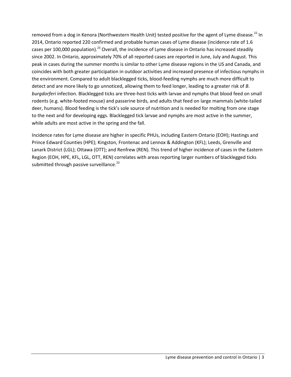removed from a dog in Kenora (Northwestern Health Unit) tested positive for the agent of Lyme disease.<sup>22</sup> In 2014, Ontario reported 220 confirmed and probable human cases of Lyme disease (incidence rate of 1.6 cases per 100,000 population).<sup>23</sup> Overall, the incidence of Lyme disease in Ontario has increased steadily since 2002. In Ontario, approximately 70% of all reported cases are reported in June, July and August. This peak in cases during the summer months is similar to other Lyme disease regions in the US and Canada, and coincides with both greater participation in outdoor activities and increased presence of infectious nymphs in the environment. Compared to adult blacklegged ticks, blood-feeding nymphs are much more difficult to detect and are more likely to go unnoticed, allowing them to feed longer, leading to a greater risk of *B*. *burgdorferi* infection. Blacklegged ticks are three-host ticks with larvae and nymphs that blood feed on small rodents (e.g. white-footed mouse) and passerine birds, and adults that feed on large mammals (white-tailed deer, humans). Blood feeding is the tick's sole source of nutrition and is needed for molting from one stage to the next and for developing eggs. Blacklegged tick larvae and nymphs are most active in the summer, while adults are most active in the spring and the fall.

Incidence rates for Lyme disease are higher in specific PHUs, including Eastern Ontario (EOH); Hastings and Prince Edward Counties (HPE); Kingston, Frontenac and Lennox & Addington (KFL); Leeds, Grenville and Lanark District (LGL); Ottawa (OTT); and Renfrew (REN). This trend of higher incidence of cases in the Eastern Region (EOH, HPE, KFL, LGL, OTT, REN) correlates with areas reporting larger numbers of blacklegged ticks submitted through passive surveillance.<sup>23</sup>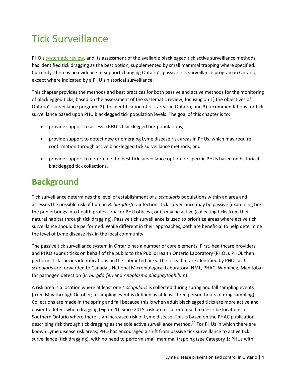# <span id="page-8-0"></span>Tick Surveillance

PHO's [systematic review,](http://www.publichealthontario.ca/en/BrowseByTopic/InfectiousDiseases/Pages/IDLandingPages/Lyme-Disease.aspx) and its assessment of the available blacklegged tick active surveillance methods, has identified tick dragging as the best option, supplemented by small mammal trapping where specified. Currently, there is no evidence to support changing Ontario's passive tick surveillance program in Ontario, except where indicated by a PHU's historical surveillance.

This chapter provides the methods and best practices for both passive and active methods for the monitoring of blacklegged ticks, based on the assessment of the systematic review, focusing on 1) the objectives of Ontario's surveillance program; 2) the identification of risk areas in Ontario; and 3) recommendations for tick surveillance based upon PHU blacklegged tick population levels. The goal of this chapter is to:

- provide support to assess a PHU's blacklegged tick populations;
- provide support to detect new or emerging Lyme disease risk areas in PHUs, which may require confirmation through active blacklegged tick surveillance methods; and
- provide support to determine the best tick surveillance option for specific PHUs based on historical blacklegged tick collections.

## <span id="page-8-1"></span>**Background**

Tick surveillance determines the level of establishment of *I. scapularis* populations within an area and assesses the possible risk of human *B. burgdorferi* infection. Tick surveillance may be passive (examining ticks the public brings into health professional or PHU offices), or it may be active (collecting ticks from their natural habitat through tick dragging). Passive tick surveillance is used to prioritize areas where active tick surveillance should be performed. While different in their approaches, both are beneficial to help determine the level of Lyme disease risk in the local community.

The passive tick surveillance system in Ontario has a number of core elements. First, healthcare providers and PHUs submit ticks on behalf of the public to the Public Health Ontario Laboratory (PHOL). PHOL then performs tick species identifications on the submitted ticks. The ticks that are identified by PHOL as *I. scapularis* are forwarded to Canada's National Microbiological Laboratory (NML, PHAC; Winnipeg, Manitoba) for pathogen detection (*B. burgdorferi* and *Anaplasma phagocytophilum*).

A risk area is a location where at least one *I. scapularis* is collected during spring and fall sampling events (from May through October; a sampling event is defined as at least three person-hours of drag sampling). Collections are made in the spring and fall because this is when adult blacklegged ticks are more active and easier to detect when dragging (Figure 1). Since 2015, risk area is a term used to describe locations in Southern Ontario where there is an increased risk of Lyme disease. This is based on the PHAC publication describing risk through tick dragging as the sole active surveillance method.<sup>24</sup> For PHUs in which there are known Lyme disease risk areas, PHO has encouraged a shift from passive tick surveillance to active tick surveillance (tick dragging), with no need to perform small mammal trapping (see Category 1: PHUs with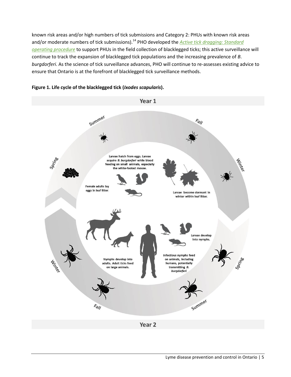known risk areas and/or high numbers of tick submissions and Category 2: PHUs with known risk areas and/or moderate numbers of tick submissions).<sup>14</sup> PHO developed the *Active tick dragging: Standard [operating procedure](http://www.publichealthontario.ca/en/BrowseByTopic/InfectiousDiseases/Pages/IDLandingPages/Lyme-Disease.aspx)* to support PHUs in the field collection of blacklegged ticks; this active surveillance will continue to track the expansion of blacklegged tick populations and the increasing prevalence of *B*. *burgdorferi*. As the science of tick surveillance advances, PHO will continue to re-assesses existing advice to ensure that Ontario is at the forefront of blacklegged tick surveillance methods.



#### **Figure 1. Life cycle of the blacklegged tick (***Ixodes scapularis***).**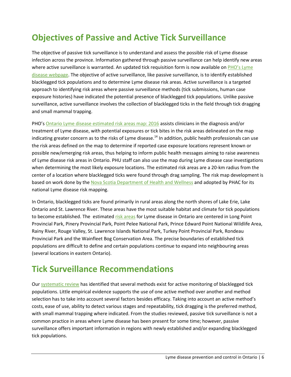## <span id="page-10-0"></span>**Objectives of Passive and Active Tick Surveillance**

The objective of passive tick surveillance is to understand and assess the possible risk of Lyme disease infection across the province. Information gathered through passive surveillance can help identify new areas where active surveillance is warranted. An updated tick requisition form is now available on PHO's Lyme [disease webpage.](http://www.publichealthontario.ca/en/BrowseByTopic/InfectiousDiseases/Pages/IDLandingPages/Lyme-Disease.aspx) The objective of active surveillance, like passive surveillance, is to identify established blacklegged tick populations and to determine Lyme disease risk areas. Active surveillance is a targeted approach to identifying risk areas where passive surveillance methods (tick submissions, human case exposure histories) have indicated the potential presence of blacklegged tick populations. Unlike passive surveillance, active surveillance involves the collection of blacklegged ticks in the field through tick dragging and small mammal trapping.

PHO's [Ontario Lyme disease estimated risk areas map: 2016](http://www.publichealthontario.ca/en/BrowseByTopic/InfectiousDiseases/Pages/IDLandingPages/Lyme-Disease.aspx) assists clinicians in the diagnosis and/or treatment of Lyme disease, with potential exposures or tick bites in the risk areas delineated on the map indicating greater concern as to the risks of Lyme disease.<sup>14</sup> In addition, public health professionals can use the risk areas defined on the map to determine if reported case exposure locations represent known or possible new/emerging risk areas, thus helping to inform public health messages aiming to raise awareness of Lyme disease risk areas in Ontario. PHU staff can also use the map during Lyme disease case investigations when determining the most likely exposure locations. The estimated risk areas are a 20-km radius from the center of a location where blacklegged ticks were found through drag sampling. The risk map development is based on work done by the [Nova Scotia Department of Health and Wellness](http://novascotia.ca/dhw/populationhealth/documents/Lyme-Disease-Epidemiology-and-Surveillance-in-Nova-Scotia.pdf) and adopted by PHAC for its national Lyme disease risk mapping.

In Ontario, blacklegged ticks are found primarily in rural areas along the north shores of Lake Erie, Lake Ontario and St. Lawrence River. These areas have the most suitable habitat and climate for tick populations to become established. The estimate[d risk areas](http://www.publichealthontario.ca/en/BrowseByTopic/InfectiousDiseases/Pages/IDLandingPages/Lyme-Disease.aspx) for Lyme disease in Ontario are centered in Long Point Provincial Park, Pinery Provincial Park, Point Pelee National Park, Prince Edward Point National Wildlife Area, Rainy River, Rouge Valley, St. Lawrence Islands National Park, Turkey Point Provincial Park, Rondeau Provincial Park and the Wainfleet Bog Conservation Area. The precise boundaries of established tick populations are difficult to define and certain populations continue to expand into neighbouring areas (several locations in eastern Ontario).

### <span id="page-10-1"></span>**Tick Surveillance Recommendations**

Our [systematic review](http://www.publichealthontario.ca/en/BrowseByTopic/InfectiousDiseases/Pages/IDLandingPages/Lyme-Disease.aspx) has identified that several methods exist for active monitoring of blacklegged tick populations. Little empirical evidence supports the use of one active method over another and method selection has to take into account several factors besides efficacy. Taking into account an active method's costs, ease of use, ability to detect various stages and repeatability, tick dragging is the preferred method, with small mammal trapping where indicated. From the studies reviewed, passive tick surveillance is not a common practice in areas where Lyme disease has been present for some time; however, passive surveillance offers important information in regions with newly established and/or expanding blacklegged tick populations.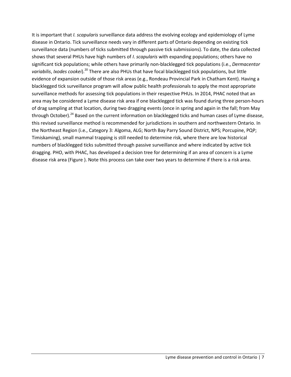It is important that *I. scapularis* surveillance data address the evolving ecology and epidemiology of Lyme disease in Ontario. Tick surveillance needs vary in different parts of Ontario depending on existing tick surveillance data (numbers of ticks submitted through passive tick submissions). To date, the data collected shows that several PHUs have high numbers of *I*. *scapularis* with expanding populations; others have no significant tick populations; while others have primarily non-blacklegged tick populations (i.e., *Dermacentor variabilis*, *Ixodes cookei*).<sup>20</sup> There are also PHUs that have focal blacklegged tick populations, but little evidence of expansion outside of those risk areas (e.g., Rondeau Provincial Park in Chatham Kent). Having a blacklegged tick surveillance program will allow public health professionals to apply the most appropriate surveillance methods for assessing tick populations in their respective PHUs. In 2014, PHAC noted that an area may be considered a Lyme disease risk area if one blacklegged tick was found during three person-hours of drag sampling at that location, during two dragging events (once in spring and again in the fall; from May through October).<sup>24</sup> Based on the current information on blacklegged ticks and human cases of Lyme disease, this revised surveillance method is recommended for jurisdictions in southern and northwestern Ontario. In the Northeast Region (i.e., Category 3: Algoma, ALG; North Bay Parry Sound District, NPS; Porcupine, PQP; Timiskaming), small mammal trapping is still needed to determine risk, where there are low historical numbers of blacklegged ticks submitted through passive surveillance and where indicated by active tick dragging. PHO, with PHAC, has developed a decision tree for determining if an area of concern is a Lyme disease risk area [\(Figure \)](#page-12-0). Note this process can take over two years to determine if there is a risk area.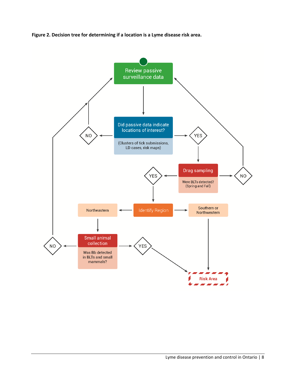<span id="page-12-0"></span>

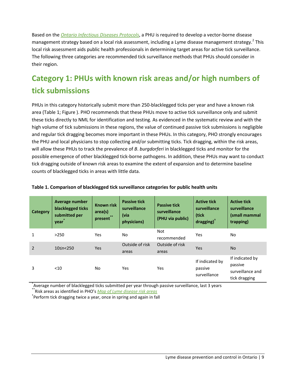Based on the *[Ontario Infectious Diseases Protocols](http://www.health.gov.on.ca/en/pro/programs/publichealth/oph_standards/infdispro.aspx)*, a PHU is required to develop a vector-borne disease management strategy based on a local risk assessment, including a Lyme disease management strategy.<sup>2</sup> This local risk assessment aids public health professionals in determining target areas for active tick surveillance. The following three categories are recommended tick surveillance methods that PHUs should consider in their region.

## <span id="page-13-0"></span>**Category 1: PHUs with known risk areas and/or high numbers of tick submissions**

PHUs in this category historically submit more than 250-blacklegged ticks per year and have a known risk area [\(Table 1;](#page-13-1) [Figure \)](#page-12-0). PHO recommends that these PHUs move to active tick surveillance only and submit these ticks directly to NML for identification and testing. As evidenced in the systematic review and with the high volume of tick submissions in these regions, the value of continued passive tick submissions is negligible and regular tick dragging becomes more important in these PHUs. In this category, PHO strongly encourages the PHU and local physicians to stop collecting and/or submitting ticks. Tick dragging, within the risk areas, will allow these PHUs to track the prevalence of *B*. *burgdorferi* in blacklegged ticks and monitor for the possible emergence of other blacklegged tick-borne pathogens. In addition, these PHUs may want to conduct tick dragging outside of known risk areas to examine the extent of expansion and to determine baseline counts of blacklegged ticks in areas with little data.

| <b>Category</b> | Average number<br>blacklegged ticks<br>submitted per<br>year | <b>Known risk</b><br>area(s)<br>**<br>present | <b>Passive tick</b><br>surveillance<br>(via<br>physicians) | <b>Passive tick</b><br>surveillance<br>(PHU via public) | <b>Active tick</b><br>surveillance<br>(tick<br>dragging) <sup>1</sup> | <b>Active tick</b><br>surveillance<br>(small mammal<br>trapping) |
|-----------------|--------------------------------------------------------------|-----------------------------------------------|------------------------------------------------------------|---------------------------------------------------------|-----------------------------------------------------------------------|------------------------------------------------------------------|
| 1               | >250                                                         | <b>Yes</b>                                    | No.                                                        | Not<br>recommended                                      | Yes                                                                   | No.                                                              |
| $\overline{2}$  | 10≤n<250                                                     | Yes                                           | Outside of risk<br>areas                                   | Outside of risk<br>areas                                | <b>Yes</b>                                                            | <b>No</b>                                                        |
| 3               | $<$ 10                                                       | No.                                           | <b>Yes</b>                                                 | Yes                                                     | If indicated by<br>passive<br>surveillance                            | If indicated by<br>passive<br>surveillance and<br>tick dragging  |

#### <span id="page-13-1"></span>**Table 1. Comparison of blacklegged tick surveillance categories for public health units**

\* Average number of blacklegged ticks submitted per year through passive surveillance, last 3 years

\*\*Risk areas as identified in PHO's *[Map of Lyme disease risk areas](http://www.publichealthontario.ca/en/BrowseByTopic/InfectiousDiseases/Pages/IDLandingPages/Lyme-Disease.aspx)*

† Perform tick dragging twice a year, once in spring and again in fall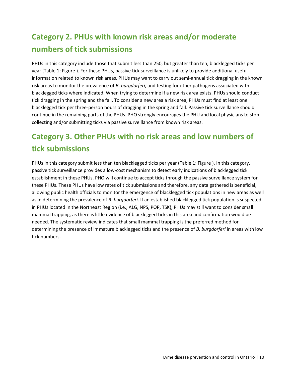## <span id="page-14-0"></span>**Category 2. PHUs with known risk areas and/or moderate numbers of tick submissions**

PHUs in this category include those that submit less than 250, but greater than ten, blacklegged ticks per year [\(Table 1;](#page-13-1) [Figure \)](#page-12-0). For these PHUs, passive tick surveillance is unlikely to provide additional useful information related to known risk areas. PHUs may want to carry out semi-annual tick dragging in the known risk areas to monitor the prevalence of *B*. *burgdorferi*, and testing for other pathogens associated with blacklegged ticks where indicated. When trying to determine if a new risk area exists, PHUs should conduct tick dragging in the spring and the fall. To consider a new area a risk area, PHUs must find at least one blacklegged tick per three-person hours of dragging in the spring and fall. Passive tick surveillance should continue in the remaining parts of the PHUs. PHO strongly encourages the PHU and local physicians to stop collecting and/or submitting ticks via passive surveillance from known risk areas.

## <span id="page-14-1"></span>**Category 3. Other PHUs with no risk areas and low numbers of tick submissions**

PHUs in this category submit less than ten blacklegged ticks per year [\(Table 1;](#page-13-1) [Figure \)](#page-12-0). In this category, passive tick surveillance provides a low-cost mechanism to detect early indications of blacklegged tick establishment in these PHUs. PHO will continue to accept ticks through the passive surveillance system for these PHUs. These PHUs have low rates of tick submissions and therefore, any data gathered is beneficial, allowing public health officials to monitor the emergence of blacklegged tick populations in new areas as well as in determining the prevalence of *B*. *burgdorferi*. If an established blacklegged tick population is suspected in PHUs located in the Northeast Region (i.e., ALG, NPS, PQP, TSK), PHUs may still want to consider small mammal trapping, as there is little evidence of blacklegged ticks in this area and confirmation would be needed. The systematic review indicates that small mammal trapping is the preferred method for determining the presence of immature blacklegged ticks and the presence of *B. burgdorferi* in areas with low tick numbers.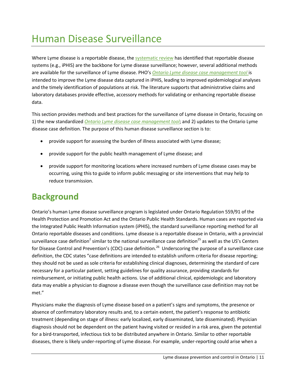# <span id="page-15-0"></span>Human Disease Surveillance

Where Lyme disease is a reportable disease, th[e systematic review](http://www.publichealthontario.ca/en/BrowseByTopic/InfectiousDiseases/Pages/IDLandingPages/Lyme-Disease.aspx) has identified that reportable disease systems (e.g., iPHIS) are the backbone for Lyme disease surveillance; however, several additional methods are available for the surveillance of Lyme disease. PHO's *[Ontario Lyme disease case management tool](http://www.publichealthontario.ca/en/BrowseByTopic/InfectiousDiseases/Pages/IDLandingPages/Lyme-Disease.aspx)* is intended to improve the Lyme disease data captured in iPHIS, leading to improved epidemiological analyses and the timely identification of populations at risk. The literature supports that administrative claims and laboratory databases provide effective, accessory methods for validating or enhancing reportable disease data.

This section provides methods and best practices for the surveillance of Lyme disease in Ontario, focusing on 1) the new standardized *[Ontario Lyme disease case management tool](http://www.publichealthontario.ca/en/BrowseByTopic/InfectiousDiseases/Pages/IDLandingPages/Lyme-Disease.aspx)*; and 2) updates to the Ontario Lyme disease case definition. The purpose of this human disease surveillance section is to:

- provide support for assessing the burden of illness associated with Lyme disease;
- provide support for the public health management of Lyme disease; and
- provide support for monitoring locations where increased numbers of Lyme disease cases may be occurring, using this to guide to inform public messaging or site interventions that may help to reduce transmission.

### <span id="page-15-1"></span>**Background**

Ontario's human Lyme disease surveillance program is legislated under Ontario Regulation 559/91 of the Health Protection and Promotion Act and the Ontario Public Health Standards. Human cases are reported via the Integrated Public Health Information system (iPHIS), the standard surveillance reporting method for all Ontario reportable diseases and conditions. Lyme disease is a reportable disease in Ontario, with a provincial surveillance case definition<sup>2</sup> similar to the national surveillance case definition<sup>25</sup> as well as the US's Centers for Disease Control and Prevention's (CDC) case definition.<sup>26</sup> Underscoring the purpose of a surveillance case definition, the CDC states "case definitions are intended to establish uniform criteria for disease reporting; they should not be used as sole criteria for establishing clinical diagnoses, determining the standard of care necessary for a particular patient, setting guidelines for quality assurance, providing standards for reimbursement, or initiating public health actions. Use of additional clinical, epidemiologic and laboratory data may enable a physician to diagnose a disease even though the surveillance case definition may not be met."

Physicians make the diagnosis of Lyme disease based on a patient's signs and symptoms, the presence or absence of confirmatory laboratory results and, to a certain extent, the patient's response to antibiotic treatment (depending on stage of illness: early localized, early disseminated, late disseminated). Physician diagnosis should not be dependent on the patient having visited or resided in a risk area, given the potential for a bird-transported, infectious tick to be distributed anywhere in Ontario. Similar to other reportable diseases, there is likely under-reporting of Lyme disease. For example, under-reporting could arise when a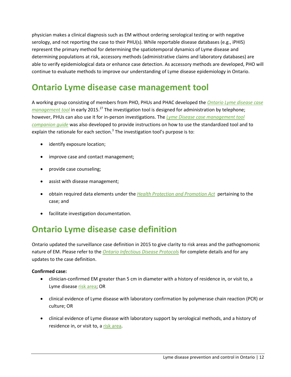physician makes a clinical diagnosis such as EM without ordering serological testing or with negative serology, and not reporting the case to their PHU(s). While reportable disease databases (e.g., iPHIS) represent the primary method for determining the spatiotemporal dynamics of Lyme disease and determining populations at risk, accessory methods (administrative claims and laboratory databases) are able to verify epidemiological data or enhance case detection. As accessory methods are developed, PHO will continue to evaluate methods to improve our understanding of Lyme disease epidemiology in Ontario.

## <span id="page-16-0"></span>**Ontario Lyme disease case management tool**

A working group consisting of members from PHO, PHUs and PHAC developed the *[Ontario Lyme disease case](http://www.publichealthontario.ca/en/BrowseByTopic/InfectiousDiseases/Pages/IDLandingPages/Lyme-Disease.aspx)  [management tool](http://www.publichealthontario.ca/en/BrowseByTopic/InfectiousDiseases/Pages/IDLandingPages/Lyme-Disease.aspx)* in early 2015. <sup>27</sup> The investigation tool is designed for administration by telephone; however, PHUs can also use it for in-person investigations. The *[Lyme Disease case management tool](http://www.publichealthontario.ca/en/BrowseByTopic/InfectiousDiseases/Pages/IDLandingPages/Lyme-Disease.aspx)  [companion guide](http://www.publichealthontario.ca/en/BrowseByTopic/InfectiousDiseases/Pages/IDLandingPages/Lyme-Disease.aspx)* was also developed to provide instructions on how to use the standardized tool and to explain the rationale for each section.<sup>3</sup> The investigation tool's purpose is to:

- identify exposure location;
- improve case and contact management;
- provide case counseling;
- assist with disease management;
- obtain required data elements under the *[Health Protection and Promotion Act](http://www.ontario.ca/laws/statute/90h07)* pertaining to the case; and
- facilitate investigation documentation.

## <span id="page-16-1"></span>**Ontario Lyme disease case definition**

Ontario updated the surveillance case definition in 2015 to give clarity to risk areas and the pathognomonic nature of EM. Please refer to the *[Ontario Infectious Disease Protocols](http://www.health.gov.on.ca/en/pro/programs/publichealth/oph_standards/infdispro.aspx#l)* for complete details and for any updates to the case definition.

#### **Confirmed case:**

- clinician-confirmed EM greater than 5 cm in diameter with a history of residence in, or visit to, a Lyme disease [risk area;](http://www.publichealthontario.ca/en/BrowseByTopic/InfectiousDiseases/Pages/IDLandingPages/Lyme-Disease.aspx) OR
- clinical evidence of Lyme disease with laboratory confirmation by polymerase chain reaction (PCR) or culture; OR
- clinical evidence of Lyme disease with laboratory support by serological methods, and a history of residence in, or visit to, a [risk area.](http://www.publichealthontario.ca/en/BrowseByTopic/InfectiousDiseases/Pages/IDLandingPages/Lyme-Disease.aspx)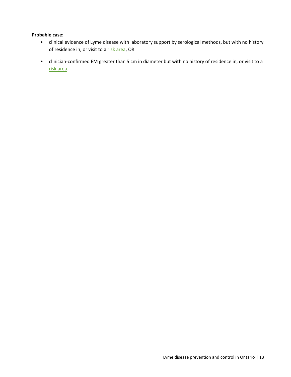#### **Probable case:**

- clinical evidence of Lyme disease with laboratory support by serological methods, but with no history of residence in, or visit to a [risk area,](http://www.publichealthontario.ca/en/BrowseByTopic/InfectiousDiseases/Pages/IDLandingPages/Lyme-Disease.aspx) OR
- clinician-confirmed EM greater than 5 cm in diameter but with no history of residence in, or visit to a [risk area.](http://www.publichealthontario.ca/en/BrowseByTopic/InfectiousDiseases/Pages/IDLandingPages/Lyme-Disease.aspx)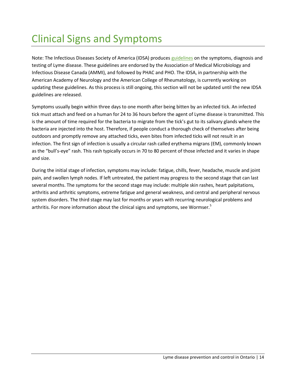# <span id="page-18-0"></span>Clinical Signs and Symptoms

Note: The Infectious Diseases Society of America (IDSA) produces [guidelines](http://www.idsociety.org/Lyme/) on the symptoms, diagnosis and testing of Lyme disease. These guidelines are endorsed by the Association of Medical Microbiology and Infectious Disease Canada (AMMI), and followed by PHAC and PHO. The IDSA, in partnership with the American Academy of Neurology and the American College of Rheumatology, is currently working on updating these guidelines. As this process is still ongoing, this section will not be updated until the new IDSA guidelines are released.

Symptoms usually begin within three days to one month after being bitten by an infected tick. An infected tick must attach and feed on a human for 24 to 36 hours before the agent of Lyme disease is transmitted. This is the amount of time required for the bacteria to migrate from the tick's gut to its salivary glands where the bacteria are injected into the host. Therefore, if people conduct a thorough check of themselves after being outdoors and promptly remove any attached ticks, even bites from infected ticks will not result in an infection. The first sign of infection is usually a circular rash called erythema migrans (EM), commonly known as the "bull's-eye" rash. This rash typically occurs in 70 to 80 percent of those infected and it varies in shape and size.

During the initial stage of infection, symptoms may include: fatigue, chills, fever, headache, muscle and joint pain, and swollen lymph nodes. If left untreated, the patient may progress to the second stage that can last several months. The symptoms for the second stage may include: multiple skin rashes, heart palpitations, arthritis and arthritic symptoms, extreme fatigue and general weakness, and central and peripheral nervous system disorders. The third stage may last for months or years with recurring neurological problems and arthritis. For more information about the clinical signs and symptoms, see Wormser.<sup>5</sup>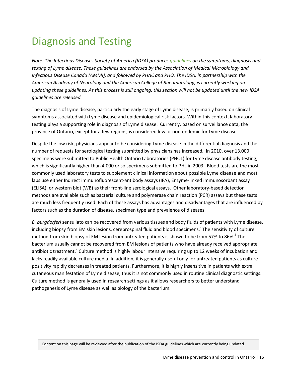# <span id="page-19-0"></span>Diagnosis and Testing

*Note: The Infectious Diseases Society of America (IDSA) produces [guidelines](http://www.idsociety.org/Lyme/) on the symptoms, diagnosis and testing of Lyme disease. These guidelines are endorsed by the Association of Medical Microbiology and Infectious Disease Canada (AMMI), and followed by PHAC and PHO. The IDSA, in partnership with the American Academy of Neurology and the American College of Rheumatology, is currently working on updating these guidelines. As this process is still ongoing, this section will not be updated until the new IDSA guidelines are released.*

The diagnosis of Lyme disease, particularly the early stage of Lyme disease, is primarily based on clinical symptoms associated with Lyme disease and epidemiological risk factors. Within this context, laboratory testing plays a supporting role in diagnosis of Lyme disease. Currently, based on surveillance data, the province of Ontario, except for a few regions, is considered low or non-endemic for Lyme disease.

Despite the low risk, physicians appear to be considering Lyme disease in the differential diagnosis and the number of requests for serological testing submitted by physicians has increased. In 2010, over 13,000 specimens were submitted to Public Health Ontario Laboratories (PHOL) for Lyme disease antibody testing, which is significantly higher than 4,000 or so specimens submitted to PHL in 2003. Blood tests are the most commonly used laboratory tests to supplement clinical information about possible Lyme disease and most labs use either Indirect immunofluorescent-antibody assays (IFA), Enzyme-linked immunosorbant assay (ELISA), or western blot (WB) as their front-line serological assays. Other laboratory-based detection methods are available such as bacterial culture and polymerase chain reaction (PCR) assays but these tests are much less frequently used. Each of these assays has advantages and disadvantages that are influenced by factors such as the duration of disease, specimen type and prevalence of diseases.

*B. burgdorferi* sensu lato can be recovered from various tissues and body fluids of patients with Lyme disease, including biopsy from EM skin lesions, cerebrospinal fluid and blood specimens. 4 The sensitivity of culture method from skin biopsy of EM lesion from untreated patients is shown to be from 57% to 86%.<sup>5</sup> The bacterium usually cannot be recovered from EM lesions of patients who have already received appropriate antibiotic treatment.<sup>4</sup> Culture method is highly labour intensive requiring up to 12 weeks of incubation and lacks readily available culture media. In addition, it is generally useful only for untreated patients as culture positivity rapidly decreases in treated patients. Furthermore, it is highly insensitive in patients with extra cutaneous manifestation of Lyme disease, thus it is not commonly used in routine clinical diagnostic settings. Culture method is generally used in research settings as it allows researchers to better understand pathogenesis of Lyme disease as well as biology of the bacterium.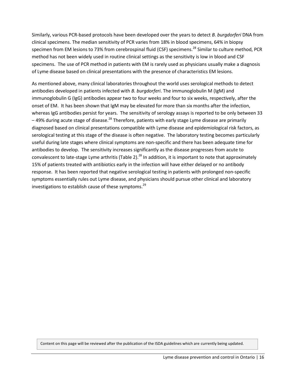Similarly, various PCR-based protocols have been developed over the years to detect *B. burgdorferi* DNA from clinical specimens. The median sensitivity of PCR varies from 18% in blood specimens, 64% in biopsy specimen from EM lesions to 73% from cerebrospinal fluid (CSF) specimens.<sup>28</sup> Similar to culture method, PCR method has not been widely used in routine clinical settings as the sensitivity is low in blood and CSF specimens. The use of PCR method in patients with EM is rarely used as physicians usually make a diagnosis of Lyme disease based on clinical presentations with the presence of characteristics EM lesions.

As mentioned above, many clinical laboratories throughout the world uses serological methods to detect antibodies developed in patients infected with *B. burgdorferi*. The immunoglobulin M (IgM) and immunoglobulin G (IgG) antibodies appear two to four weeks and four to six weeks, respectively, after the onset of EM. It has been shown that IgM may be elevated for more than six months after the infection, whereas IgG antibodies persist for years. The sensitivity of serology assays is reported to be only between 33 – 49% during acute stage of disease.<sup>28</sup> Therefore, patients with early stage Lyme disease are primarily diagnosed based on clinical presentations compatible with Lyme disease and epidemiological risk factors, as serological testing at this stage of the disease is often negative. The laboratory testing becomes particularly useful during late stages where clinical symptoms are non-specific and there has been adequate time for antibodies to develop. The sensitivity increases significantly as the disease progresses from acute to convalescent to late-stage Lyme arthritis (Table 2).<sup>28</sup> In addition, it is important to note that approximately 15% of patients treated with antibiotics early in the infection will have either delayed or no antibody response. It has been reported that negative serological testing in patients with prolonged non-specific symptoms essentially rules out Lyme disease, and physicians should pursue other clinical and laboratory investigations to establish cause of these symptoms.<sup>29</sup>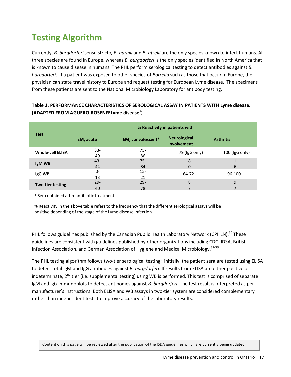## <span id="page-21-0"></span>**Testing Algorithm**

Currently, *B. burgdorferi* sensu stricto*, B. garinii* and *B. afzelii* are the only species known to infect humans. All three species are found in Europe, whereas *B. burgdorferi* is the only species identified in North America that is known to cause disease in humans. The PHL perform serological testing to detect antibodies against *B. burgdorferi*. If a patient was exposed to other species of *Borrelia* such as those that occur in Europe, the physician can state travel history to Europe and request testing for European Lyme disease. The specimens from these patients are sent to the National Microbiology Laboratory for antibody testing.

#### **Table 2. PERFORMANCE CHARACTERISTICS OF SEROLOGICAL ASSAY IN PATIENTS WITH Lyme disease. (ADAPTED FROM AGUERO-ROSENFELyme disease<sup>1</sup> )**

|                         | % Reactivity in patients with |                   |                                    |                  |  |  |  |
|-------------------------|-------------------------------|-------------------|------------------------------------|------------------|--|--|--|
| <b>Test</b>             | EM, acute                     | EM, convalescent* | <b>Neurological</b><br>involvement | <b>Arthritis</b> |  |  |  |
| <b>Whole-cell ELISA</b> | $33 -$<br>49                  | $75 -$<br>86      | 79 (IgG only)                      | $100$ (IgG only) |  |  |  |
| IgM WB                  | $43 -$<br>44                  | $75 -$<br>84      | 8<br>0                             | 6                |  |  |  |
| IgG WB                  | 0-<br>13                      | $15 -$<br>21      | 64-72                              | 96-100           |  |  |  |
| <b>Two-tier testing</b> | $29 -$<br>40                  | $29 -$<br>78      | 8                                  | 9                |  |  |  |

\* Sera obtained after antibiotic treatment

% Reactivity in the above table refersto the frequency that the different serological assays will be positive depending of the stage of the Lyme disease infection

PHL follows guidelines published by the Canadian Public Health Laboratory Network (CPHLN).<sup>30</sup> These guidelines are consistent with guidelines published by other organizations including CDC, IDSA, British Infection Association, and German Association of Hygiene and Medical Microbiology.<sup>31-33</sup>

The PHL testing algorithm follows two-tier serological testing: initially, the patient sera are tested using ELISA to detect total IgM and IgG antibodies against *B. burgdorferi*. If results from ELISA are either positive or indeterminate, 2<sup>nd</sup> tier (i.e. supplemental testing) using WB is performed. This test is comprised of separate IgM and IgG immunoblots to detect antibodies against *B. burgdorferi*. The test result is interpreted as per manufacturer's instructions. Both ELISA and WB assays in two-tier system are considered complementary rather than independent tests to improve accuracy of the laboratory results.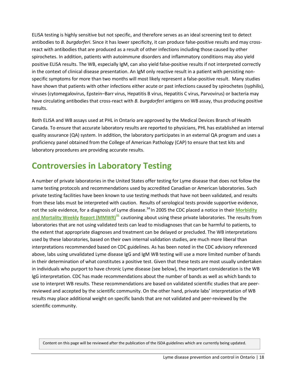ELISA testing is highly sensitive but not specific, and therefore serves as an ideal screening test to detect antibodies to *B. burgdorferi*. Since it has lower specificity, it can produce false-positive results and may crossreact with antibodies that are produced as a result of other infections including those caused by other spirochetes. In addition, patients with autoimmune disorders and inflammatory conditions may also yield positive ELISA results. The WB, especially IgM, can also yield false-positive results if not interpreted correctly in the context of clinical disease presentation. An IgM only reactive result in a patient with persisting nonspecific symptoms for more than two months will most likely represent a false-positive result. Many studies have shown that patients with other infections either acute or past infections caused by spirochetes (syphilis), viruses (cytomegalovirus, Epstein–Barr virus, Hepatitis B virus, Hepatitis C virus, Parvovirus) or bacteria may have circulating antibodies that cross-react with *B. burgdorferi* antigens on WB assay, thus producing positive results.

Both ELISA and WB assays used at PHL in Ontario are approved by the Medical Devices Branch of Health Canada. To ensure that accurate laboratory results are reported to physicians, PHL has established an internal quality assurance (QA) system. In addition, the laboratory participates in an external QA program and uses a proficiency panel obtained from the College of American Pathology (CAP) to ensure that test kits and laboratory procedures are providing accurate results.

## <span id="page-22-0"></span>**Controversies in Laboratory Testing**

A number of private laboratories in the United States offer testing for Lyme disease that does not follow the same testing protocols and recommendations used by accredited Canadian or American laboratories. Such private testing facilities have been known to use testing methods that have not been validated, and results from these labs must be interpreted with caution. Results of serological tests provide supportive evidence, not the sole evidence, for a diagnosis of Lyme disease.<sup>34</sup> In 2005 the CDC placed a notice in their **[Morbidity](http://www.cdc.gov/mmwr/preview/mmwrhtml/mm5405a6.htm) and [Mortality Weekly](http://www.cdc.gov/mmwr/preview/mmwrhtml/mm5405a6.htm) Report [\(MMWR\)](http://www.cdc.gov/mmwr/preview/mmwrhtml/mm5405a6.htm) <sup>35</sup>** cautioning about using these private laboratories. The results from laboratories that are not using validated tests can lead to misdiagnoses that can be harmful to patients, to the extent that appropriate diagnoses and treatment can be delayed or precluded. The WB interpretations used by these laboratories, based on their own internal validation studies, are much more liberal than interpretations recommended based on CDC guidelines. As has been noted in the CDC advisory referenced above, labs using unvalidated Lyme disease IgG and IgM WB testing will use a more limited number of bands in their determination of what constitutes a positive test. Given that these tests are most usually undertaken in individuals who purport to have chronic Lyme disease (see below), the important consideration is the WB IgG interpretation. CDC has made recommendations about the number of bands as well as which bands to use to interpret WB results. These recommendations are based on validated scientific studies that are peerreviewed and accepted by the scientific community. On the other hand, private labs' interpretation of WB results may place additional weight on specific bands that are not validated and peer-reviewed by the scientific community.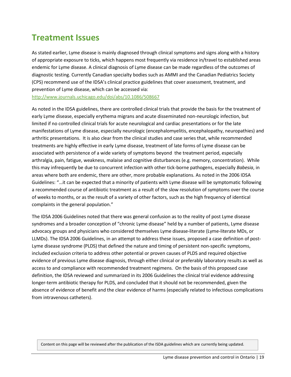### <span id="page-23-0"></span>**Treatment Issues**

As stated earlier, Lyme disease is mainly diagnosed through clinical symptoms and signs along with a history of appropriate exposure to ticks, which happens most frequently via residence in/travel to established areas endemic for Lyme disease. A clinical diagnosis of Lyme disease can be made regardless of the outcomes of diagnostic testing. Currently Canadian specialty bodies such as AMMI and the Canadian Pediatrics Society (CPS) recommend use of the IDSA's clinical practice guidelines that cover assessment, treatment, and prevention of Lyme disease, which can be accessed via:

<http://www.journals.uchicago.edu/doi/abs/10.1086/508667>

As noted in the IDSA guidelines, there are controlled clinical trials that provide the basis for the treatment of early Lyme disease, especially erythema migrans and acute disseminated non-neurologic infection, but limited if no controlled clinical trials for acute neurological and cardiac presentations or for the late manifestations of Lyme disease, especially neurologic (encephalomyelitis, encephalopathy, neuropathies) and arthritic presentations. It is also clear from the clinical studies and case series that, while recommended treatments are highly effective in early Lyme disease, treatment of late forms of Lyme disease can be associated with persistence of a wide variety of symptoms beyond the treatment period, especially arthralgia, pain, fatigue, weakness, malaise and cognitive disturbances (e.g. memory, concentration). While this may infrequently be due to concurrent infection with other tick-borne pathogens, especially *Babesia*, in areas where both are endemic, there are other, more probable explanations. As noted in the 2006 IDSA Guidelines: "…it can be expected that a minority of patients with Lyme disease will be symptomatic following a recommended course of antibiotic treatment as a result of the slow resolution of symptoms over the course of weeks to months, or as the result of a variety of other factors, such as the high frequency of identical complaints in the general population."

The IDSA 2006 Guidelines noted that there was general confusion as to the reality of post Lyme disease syndromes and a broader conception of "chronic Lyme disease" held by a number of patients, Lyme disease advocacy groups and physicians who considered themselves Lyme disease-literate (Lyme-literate MDs, or LLMDs). The IDSA 2006 Guidelines, in an attempt to address these issues, proposed a case definition of post-Lyme disease syndrome (PLDS) that defined the nature and timing of persistent non-specific symptoms, included exclusion criteria to address other potential or proven causes of PLDS and required objective evidence of previous Lyme disease diagnosis, through either clinical or preferably laboratory results as well as access to and compliance with recommended treatment regimens. On the basis of this proposed case definition, the IDSA reviewed and summarized in its 2006 Guidelines the clinical trial evidence addressing longer-term antibiotic therapy for PLDS, and concluded that it should not be recommended, given the absence of evidence of benefit and the clear evidence of harms (especially related to infectious complications from intravenous catheters).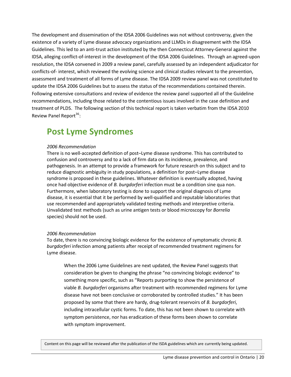The development and dissemination of the IDSA 2006 Guidelines was not without controversy, given the existence of a variety of Lyme disease advocacy organizations and LLMDs in disagreement with the IDSA Guidelines. This led to an anti-trust action instituted by the then Connecticut Attorney-General against the IDSA, alleging conflict-of-interest in the development of the IDSA 2006 Guidelines. Through an agreed-upon resolution, the IDSA convened in 2009 a review panel, carefully assessed by an independent adjudicator for conflicts-of- interest, which reviewed the evolving science and clinical studies relevant to the prevention, assessment and treatment of all forms of Lyme disease. The IDSA 2009 review panel was not constituted to update the IDSA 2006 Guidelines but to assess the status of the recommendations contained therein. Following extensive consultations and review of evidence the review panel supported all of the Guideline recommendations, including those related to the contentious issues involved in the case definition and treatment of PLDS. The following section of this technical report is taken verbatim from the IDSA 2010 Review Panel Report<sup>36</sup>:

### <span id="page-24-0"></span>**Post Lyme Syndromes**

#### *2006 Recommendation*

There is no well-accepted definition of post–Lyme disease syndrome. This has contributed to confusion and controversy and to a lack of firm data on its incidence, prevalence, and pathogenesis. In an attempt to provide a framework for future research on this subject and to reduce diagnostic ambiguity in study populations, a definition for post–Lyme disease syndrome is proposed in these guidelines. Whatever definition is eventually adopted, having once had objective evidence of *B. burgdorferi* infection must be a condition sine qua non. Furthermore, when laboratory testing is done to support the original diagnosis of Lyme disease, it is essential that it be performed by well-qualified and reputable laboratories that use recommended and appropriately validated testing methods and interpretive criteria. Unvalidated test methods (such as urine antigen tests or blood microscopy for *Borrelia* species) should not be used.

#### *2006 Recommendation*

To date, there is no convincing biologic evidence for the existence of symptomatic chronic *B. burgdorferi* infection among patients after receipt of recommended treatment regimens for Lyme disease.

When the 2006 Lyme Guidelines are next updated, the Review Panel suggests that consideration be given to changing the phrase "no convincing biologic evidence" to something more specific, such as "Reports purporting to show the persistence of viable *B. burgdorferi* organisms after treatment with recommended regimens for Lyme disease have not been conclusive or corroborated by controlled studies." It has been proposed by some that there are hardy, drug-tolerant reservoirs of *B. burgdorferi*, including intracellular cystic forms. To date, this has not been shown to correlate with symptom persistence, nor has eradication of these forms been shown to correlate with symptom improvement.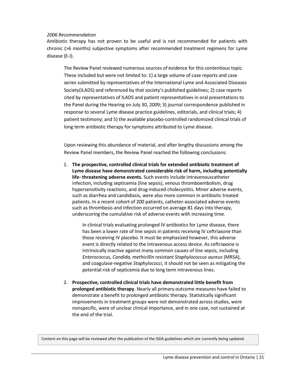#### *2006 Recommendation*

Antibiotic therapy has not proven to be useful and is not recommended for patients with chronic (>6 months) subjective symptoms after recommended treatment regimens for Lyme disease (E-I).

The Review Panel reviewed numerous sources of evidence for this contentious topic. These included but were not limited to: 1) a large volume of case reports and case series submitted by representatives of the International Lyme and Associated Diseases Society(ILADS) and referenced by that society's published guidelines; 2) case reports cited by representatives of ILADS and patient representatives in oral presentations to the Panel during the Hearing on July 30, 2009; 3) journal correspondence published in response to several Lyme disease practice guidelines, editorials, and clinical trials; 4) patient testimony; and 5) the available placebo-controlled randomized clinical trials of long term antibiotic therapy for symptoms attributed to Lyme disease.

Upon reviewing this abundance of material, and after lengthy discussions among the Review Panel members, the Review Panel reached the following conclusions:

1. **The prospective, controlled clinical trials for extended antibiotic treatment of Lyme disease have demonstrated considerable risk of harm, including potentially life- threatening adverse events.** Such events include intravenouscatheter infection, including septicemia (line sepsis), venous thromboembolism, drug hypersensitivity reactions, and drug-induced cholecystitis. Minor adverse events, such as diarrhea and candidiasis, were also more common in antibiotic treated patients. In a recent cohort of 200 patients, catheter-associated adverse events such as thrombosis and infection occurred on average 81 days into therapy, underscoring the cumulative risk of adverse events with increasing time.

In clinical trials evaluating prolonged IV antibiotics for Lyme disease, there has been a lower rate of line sepsis in patients receiving IV ceftriaxone than those receiving IV placebo. It must be emphasized however, this adverse event is directly related to the intravenous access device. As ceftriaxone is intrinsically inactive against many common causes of line sepsis, including *Enterococcus, Candida, methicillin resistant Staphylococcus aureus* (MRSA), and coagulase-negative *Staphylococci*, it should not be seen as mitigating the potential risk of septicemia due to long term intravenous lines.

2. **Prospective, controlled clinical trials have demonstrated little benefit from prolonged antibiotic therapy**. Nearly all primary outcome measures have failed to demonstrate a benefit to prolonged antibiotic therapy. Statistically significant improvements in treatment groups were not demonstrated across studies, were nonspecific, were of unclear clinical importance, and in one case, not sustained at the end of the trial.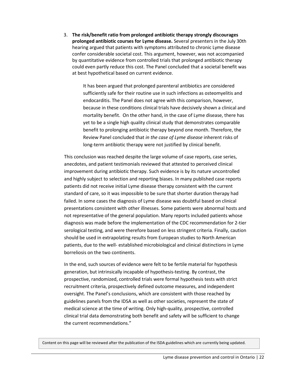3. **The risk/benefit ratio from prolonged antibiotic therapy strongly discourages prolonged antibiotic courses for Lyme disease.** Several presenters in the July 30th hearing argued that patients with symptoms attributed to chronic Lyme disease confer considerable societal cost. This argument, however, was not accompanied by quantitative evidence from controlled trials that prolonged antibiotic therapy could even partly reduce this cost. The Panel concluded that a societal benefit was at best hypothetical based on current evidence.

> It has been argued that prolonged parenteral antibiotics are considered sufficiently safe for their routine use in such infections as osteomyelitis and endocarditis. The Panel does not agree with this comparison, however, because in these conditions clinical trials have decisively shown a clinical and mortality benefit. On the other hand, in the case of Lyme disease, there has yet to be a single high quality clinical study that demonstrates comparable benefit to prolonging antibiotic therapy beyond one month. Therefore, the Review Panel concluded that *in the case of Lyme disease* inherent risks of long-term antibiotic therapy were not justified by clinical benefit.

This conclusion was reached despite the large volume of case reports, case series, anecdotes, and patient testimonials reviewed that attested to perceived clinical improvement during antibiotic therapy. Such evidence is by its nature uncontrolled and highly subject to selection and reporting biases. In many published case reports patients did not receive initial Lyme disease therapy consistent with the current standard of care, so it was impossible to be sure that shorter duration therapy had failed. In some cases the diagnosis of Lyme disease was doubtful based on clinical presentations consistent with other illnesses. Some patients were abnormal hosts and not representative of the general population. Many reports included patients whose diagnosis was made before the implementation of the CDC recommendation for 2-tier serological testing, and were therefore based on less stringent criteria. Finally, caution should be used in extrapolating results from European studies to North American patients, due to the well- established microbiological and clinical distinctions in Lyme borreliosis on the two continents.

In the end, such sources of evidence were felt to be fertile material for hypothesis generation, but intrinsically incapable of hypothesis-testing. By contrast, the prospective, randomized, controlled trials were formal hypothesis tests with strict recruitment criteria, prospectively defined outcome measures, and independent oversight. The Panel's conclusions, which are consistent with those reached by guidelines panels from the IDSA as well as other societies, represent the state of medical science at the time of writing. Only high-quality, prospective, controlled clinical trial data demonstrating both benefit and safety will be sufficient to change the current recommendations."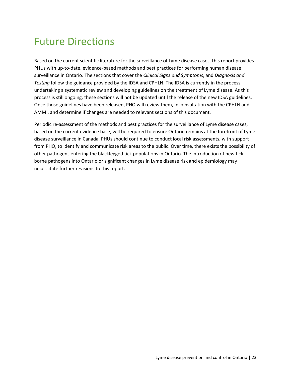# <span id="page-27-0"></span>Future Directions

Based on the current scientific literature for the surveillance of Lyme disease cases, this report provides PHUs with up-to-date, evidence-based methods and best practices for performing human disease surveillance in Ontario. The sections that cover the *Clinical Signs and Symptoms*, and *Diagnosis and Testing* follow the guidance provided by the IDSA and CPHLN. The IDSA is currently in the process undertaking a systematic review and developing guidelines on the treatment of Lyme disease. As this process is still ongoing, these sections will not be updated until the release of the new IDSA guidelines. Once those guidelines have been released, PHO will review them, in consultation with the CPHLN and AMMI, and determine if changes are needed to relevant sections of this document.

Periodic re-assessment of the methods and best practices for the surveillance of Lyme disease cases, based on the current evidence base, will be required to ensure Ontario remains at the forefront of Lyme disease surveillance in Canada. PHUs should continue to conduct local risk assessments, with support from PHO, to identify and communicate risk areas to the public. Over time, there exists the possibility of other pathogens entering the blacklegged tick populations in Ontario. The introduction of new tickborne pathogens into Ontario or significant changes in Lyme disease risk and epidemiology may necessitate further revisions to this report.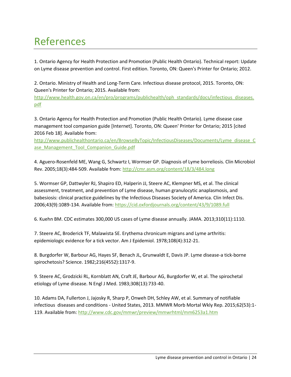# <span id="page-28-0"></span>References

1. Ontario Agency for Health Protection and Promotion (Public Health Ontario). Technical report: Update on Lyme disease prevention and control. First edition. Toronto, ON: Queen's Printer for Ontario; 2012.

2. Ontario. Ministry of Health and Long-Term Care. Infectious disease protocol, 2015. Toronto, ON: Queen's Printer for Ontario; 2015. Available from:

[http://www.health.gov.on.ca/en/pro/programs/publichealth/oph\\_standards/docs/infectious\\_diseases.](http://www.health.gov.on.ca/en/pro/programs/publichealth/oph_standards/docs/infectious_diseases.pdf) [pdf](http://www.health.gov.on.ca/en/pro/programs/publichealth/oph_standards/docs/infectious_diseases.pdf)

3. Ontario Agency for Health Protection and Promotion (Public Health Ontario). Lyme disease case management tool companion guide [Internet]. Toronto, ON: Queen' Printer for Ontario; 2015 [cited 2016 Feb 18]. Available from:

[http://www.publichealthontario.ca/en/BrowseByTopic/InfectiousDiseases/Documents/Lyme\\_disease\\_C](http://www.publichealthontario.ca/en/BrowseByTopic/InfectiousDiseases/Documents/Lyme_disease_Case_Management_Tool_Companion_Guide.pdf) ase Management Tool Companion Guide.pdf

4. Aguero-Rosenfeld ME, Wang G, Schwartz I, Wormser GP. Diagnosis of Lyme borreliosis. Clin Microbiol Rev. 2005;18(3):484-509. Available from[: http://cmr.asm.org/content/18/3/484.long](http://cmr.asm.org/content/18/3/484.long)

5. Wormser GP, Dattwyler RJ, Shapiro ED, Halperin JJ, Steere AC, Klempner MS, et al. The clinical assessment, treatment, and prevention of Lyme disease, human granulocytic anaplasmosis, and babesiosis: clinical practice guidelines by the Infectious Diseases Society of America. Clin Infect Dis. 2006;43(9):1089-134. Available from[: https://cid.oxfordjournals.org/content/43/9/1089.full](https://cid.oxfordjournals.org/content/43/9/1089.full)

6. Kuehn BM. CDC estimates 300,000 US cases of Lyme disease annually. JAMA. 2013;310(11):1110.

7. Steere AC, Broderick TF, Malawista SE. Erythema chronicum migrans and Lyme arthritis: epidemiologic evidence for a tick vector. Am J Epidemiol. 1978;108(4):312-21.

8. Burgdorfer W, Barbour AG, Hayes SF, Benach JL, Grunwaldt E, Davis JP. Lyme disease-a tick-borne spirochetosis? Science. 1982;216(4552):1317-9.

9. Steere AC, Grodzicki RL, Kornblatt AN, Craft JE, Barbour AG, Burgdorfer W, et al. The spirochetal etiology of Lyme disease. N Engl J Med. 1983;308(13):733-40.

10. Adams DA, Fullerton J, Jajosky R, Sharp P, Onweh DH, Schley AW, et al. Summary of notifiable infectious diseases and conditions - United States, 2013. MMWR Morb Mortal Wkly Rep. 2015;62(53):1- 119. Available from:<http://www.cdc.gov/mmwr/preview/mmwrhtml/mm6253a1.htm>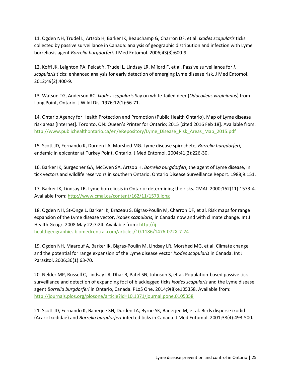11. Ogden NH, Trudel L, Artsob H, Barker IK, Beauchamp G, Charron DF, et al. *Ixodes scapularis* ticks collected by passive surveillance in Canada: analysis of geographic distribution and infection with Lyme borreliosis agent *Borrelia burgdorferi*. J Med Entomol. 2006;43(3):600-9.

12. Koffi JK, Leighton PA, Pelcat Y, Trudel L, Lindsay LR, Milord F, et al. Passive surveillance for *I. scapularis* ticks: enhanced analysis for early detection of emerging Lyme disease risk. J Med Entomol. 2012;49(2):400-9.

13. Watson TG, Anderson RC. *Ixodes scapularis* Say on white-tailed deer (*Odocoileus virginianus*) from Long Point, Ontario. J Wildl Dis. 1976;12(1):66-71.

14. Ontario Agency for Health Protection and Promotion (Public Health Ontario). Map of Lyme disease risk areas [Internet]. Toronto, ON: Queen's Printer for Ontario; 2015 [cited 2016 Feb 18]. Available from: [http://www.publichealthontario.ca/en/eRepository/Lyme\\_Disease\\_Risk\\_Areas\\_Map\\_2015.pdf](http://www.publichealthontario.ca/en/eRepository/Lyme_Disease_Risk_Areas_Map_2015.pdf)

15. Scott JD, Fernando K, Durden LA, Morshed MG. Lyme disease spirochete, *Borrelia burgdorferi*, endemic in epicenter at Turkey Point, Ontario. J Med Entomol. 2004;41(2):226-30.

16. Barker IK, Surgeoner GA, McEwen SA, Artsob H. *Borrelia burgdorferi*, the agent of Lyme disease, in tick vectors and wildlife reservoirs in southern Ontario. Ontario Disease Surveillance Report. 1988;9:151.

17. Barker IK, Lindsay LR. Lyme borreliosis in Ontario: determining the risks. CMAJ. 2000;162(11):1573-4. Available from[: http://www.cmaj.ca/content/162/11/1573.long](http://www.cmaj.ca/content/162/11/1573.long)

18. Ogden NH, St-Onge L, Barker IK, Brazeau S, Bigras-Poulin M, Charron DF, et al. Risk maps for range expansion of the Lyme disease vector, *Ixodes scapularis*, in Canada now and with climate change. Int J Health Geogr. 2008 May 22;7:24. Available from: [http://ij](http://ij-healthgeographics.biomedcentral.com/articles/10.1186/1476-072X-7-24)[healthgeographics.biomedcentral.com/articles/10.1186/1476-072X-7-24](http://ij-healthgeographics.biomedcentral.com/articles/10.1186/1476-072X-7-24)

19. Ogden NH, Maarouf A, Barker IK, Bigras-Poulin M, Lindsay LR, Morshed MG, et al. Climate change and the potential for range expansion of the Lyme disease vector *Ixodes scapularis* in Canada. Int J Parasitol. 2006;36(1):63-70.

20. Nelder MP, Russell C, Lindsay LR, Dhar B, Patel SN, Johnson S, et al. Population-based passive tick surveillance and detection of expanding foci of blacklegged ticks *Ixodes scapularis* and the Lyme disease agent *Borrelia burgdorferi* in Ontario, Canada. PLoS One. 2014;9(8):e105358. Available from: <http://journals.plos.org/plosone/article?id=10.1371/journal.pone.0105358>

21. Scott JD, Fernando K, Banerjee SN, Durden LA, Byrne SK, Banerjee M, et al. Birds disperse ixodid (Acari: Ixodidae) and *Borrelia burgdorferi*-infected ticks in Canada. J Med Entomol. 2001;38(4):493-500.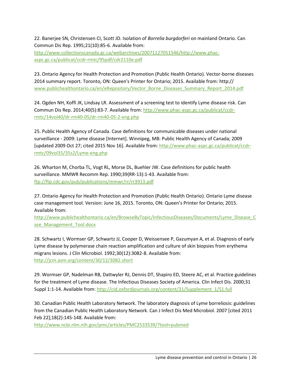22. Banerjee SN, Christensen CI, Scott JD. Isolation of *Borrelia burgdorferi* on mainland Ontario. Can Commun Dis Rep. 1995;21(10):85-6. Available from: [http://www.collectionscanada.gc.ca/webarchives/20071127051546/http://www.phac](http://www.collectionscanada.gc.ca/webarchives/20071127051546/http:/www.phac-aspc.gc.ca/publicat/ccdr-rmtc/95pdf/cdr2110e.pdf)[aspc.gc.ca/publicat/ccdr-rmtc/95pdf/cdr2110e.pdf](http://www.collectionscanada.gc.ca/webarchives/20071127051546/http:/www.phac-aspc.gc.ca/publicat/ccdr-rmtc/95pdf/cdr2110e.pdf)

23. Ontario Agency for Health Protection and Promotion (Public Health Ontario). Vector-borne diseases 2014 summary report. Toronto, ON: Queen's Printer for Ontario; 2015. Available from: http:// [www.publichealthontario.ca/en/eRepository/Vector\\_Borne\\_Diseases\\_Summary\\_Report\\_2014.pdf](http://www.publichealthontario.ca/en/eRepository/Vector_Borne_Diseases_Summary_Report_2014.pdf)

24. Ogden NH, Koffi JK, Lindsay LR. Assessment of a screening test to identify Lyme disease risk. Can Commun Dis Rep. 2014;40(5):83-7. Available from: [http://www.phac-aspc.gc.ca/publicat/ccdr](http://www.phac-aspc.gc.ca/publicat/ccdr-rmtc/14vol40/dr-rm40-05/dr-rm40-05-2-eng.php)[rmtc/14vol40/dr-rm40-05/dr-rm40-05-2-eng.php](http://www.phac-aspc.gc.ca/publicat/ccdr-rmtc/14vol40/dr-rm40-05/dr-rm40-05-2-eng.php)

25. Public Health Agency of Canada. Case definitions for communicable diseases under national surveillance - 2009: Lyme disease [Internet]. Winnipeg, MB: Public Health Agency of Canada; 2009 [updated 2009 Oct 27; cited 2015 Nov 16]. Available from: [http://www.phac-aspc.gc.ca/publicat/ccdr](http://www.phac-aspc.gc.ca/publicat/ccdr-rmtc/09vol35/35s2/Lyme-eng.php)[rmtc/09vol35/35s2/Lyme-eng.php](http://www.phac-aspc.gc.ca/publicat/ccdr-rmtc/09vol35/35s2/Lyme-eng.php)

26. Wharton M, Chorba TL, Vogt RL, Morse DL, Buehler JW. Case definitions for public health surveillance. MMWR Recomm Rep. 1990;39(RR-13):1-43. Available from: <ftp://ftp.cdc.gov/pub/publications/mmwr/rr/rr3913.pdf>

27. Ontario Agency for Health Protection and Promotion (Public Health Ontario). Ontario Lyme disease case management tool. Version: June 16, 2015. Toronto, ON: Queen's Printer for Ontario; 2015. Available from:

[http://www.publichealthontario.ca/en/BrowseByTopic/InfectiousDiseases/Documents/Lyme\\_Disease\\_C](http://www.publichealthontario.ca/en/BrowseByTopic/InfectiousDiseases/Documents/Lyme_Disease_Case_Management_Tool.docx) ase Management Tool.docx

28. Schwartz I, Wormser GP, Schwartz JJ, Cooper D, Weissensee P, Gazumyan A, et al. Diagnosis of early Lyme disease by polymerase chain reaction amplification and culture of skin biopsies from erythema migrans lesions. J Clin Microbiol. 1992;30(12):3082-8. Available from: <http://jcm.asm.org/content/30/12/3082.short>

29. Wormser GP, Nadelman RB, Dattwyler RJ, Dennis DT, Shapiro ED, Steere AC, et al. Practice guidelines for the treatment of Lyme disease. The Infectious Diseases Society of America. Clin Infect Dis. 2000;31 Suppl 1:1-14. Available from[: http://cid.oxfordjournals.org/content/31/Supplement\\_1/S1.full](http://cid.oxfordjournals.org/content/31/Supplement_1/S1.full)

30. Canadian Public Health Laboratory Network. The laboratory diagnosis of Lyme borreliosis: guidelines from the Canadian Public Health Laboratory Network. Can J Infect Dis Med Microbiol. 2007 [cited 2011 Feb 22];18(2):145-148. Available from:

<http://www.ncbi.nlm.nih.gov/pmc/articles/PMC2533539/?tool=pubmed>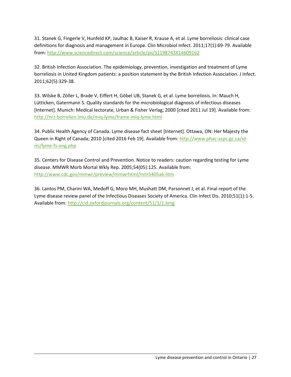31. Stanek G, Fingerle V, Hunfeld KP, Jaulhac B, Kaiser R, Krause A, et al. Lyme borreliosis: clinical case definitions for diagnosis and management in Europe. Clin Microbiol Infect. 2011;17(1):69-79. Available from:<http://www.sciencedirect.com/science/article/pii/S1198743X14609162>

32. British Infection Association. The epidemiology, prevention, investigation and treatment of Lyme borreliosis in United Kingdom patients: a position statement by the British Infection Association. J Infect. 2011;62(5):329-38.

33. Wilske B, Zöller L, Brade V, Eiffert H, Göbel UB, Stanek G, et al. Lyme borreliosis. In: Mauch H, Lütticken, Gatermann S. Quality standards for the microbiological diagnosis of infectious diseases [Internet]. Munich: Medical Iectorate, Urban & Fisher Verlag; 2000 [cited 2011 Jul 19]. Available from: <http://nrz-borrelien.lmu.de/miq-lyme/frame-miq-lyme.html>

34. Public Health Agency of Canada. Lyme disease fact sheet [Internet]. Ottawa, ON: Her Majesty the Queen in Right of Canada; 2010 [cited 2016 Feb 19]. Available from[: http://www.phac-aspc.gc.ca/id](http://www.phac-aspc.gc.ca/id-mi/lyme-fs-eng.php)[mi/lyme-fs-eng.php](http://www.phac-aspc.gc.ca/id-mi/lyme-fs-eng.php)

35. Centers for Disease Control and Prevention. Notice to readers: caution regarding testing for Lyme disease. MMWR Morb Mortal Wkly Rep. 2005;54(05):125. Available from: <http://www.cdc.gov/mmwr/preview/mmwrhtml/mm5405a6.htm>

36. Lantos PM, Charini WA, Medoff G, Moro MH, Mushatt DM, Parsonnet J, et al. Final report of the Lyme disease review panel of the Infectious Diseases Society of America. Clin Infect Dis. 2010;51(1):1-5. Available from[: http://cid.oxfordjournals.org/content/51/1/1.long](http://cid.oxfordjournals.org/content/51/1/1.long)